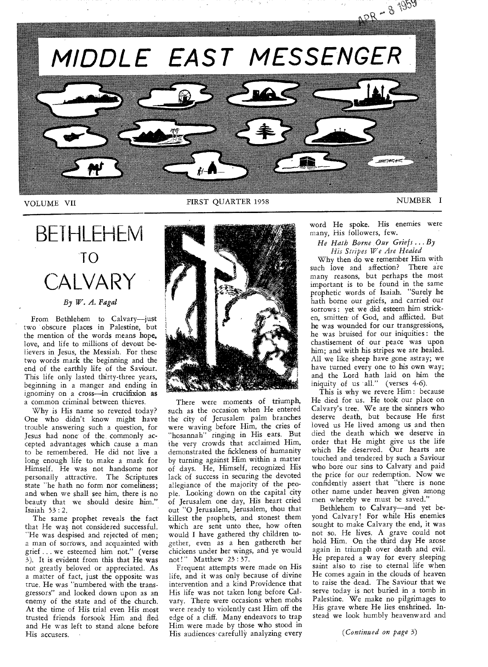

## BETHLEHEM TO CALVARY *By W. A. Fagal*

From Bethlehem to Calvary—just two obscure places in Palestine, but the mention of the words means hope, love, and life to millions of devout believers in Jesus, the Messiah. For these two words mark the beginning and the end of the earthly life of the Saviour. This life only lasted thirty-three years, beginning in a manger and ending in ignominy on a cross—in crucifixion as a common criminal between thieves.

Why is His name so revered today? One who didn't know might have trouble answering such a question, for Jesus had none of the, commonly accepted advantages which cause a man to be remembered. He did not live a long enough life to make a mark for Himself. He was not handsome nor personally attractive. The Scriptures state "he hath no form nor comeliness; and when we shall see him, there is no beauty that we should desire him." Isaiah 53 : 2.

The same prophet reveals the fact that He was not considered successful. "He was despised and rejected of men; a man of sorrows, and acquainted with grief ... we esteemed him not." (verse 3). It is evident from this that He was not greatly beloved or appreciated. As a matter of fact, just the opposite was true. He was "numbered with the transgressors" and looked down upon as *an*  enemy of the state and of the church. At the time of His trial even His most trusted friends forsook Him and fled and He was left to stand alone before His accusers.



There were moments of triumph, such as the occasion when He entered the city of Jerusalem palm branches were waving before Him, the cries of "hosannah" ringing in His ears. But the very crowds that acclaimed Him, demonstrated the fickleness of humanity by turning against Him within a matter of days. He, Himself, recognized His lack of success in securing the devoted allegiance of the majority of the people. Looking' down on the capital city of Jerusalem one day, His heart cried out "0 Jerusalem, Jerusalem, thou that killest the prophets, and stonest them which are sent unto thee, how often would I have gathered thy children together, even as a hen gathereth her chickens under her wings, and ye would not!" Matthew 23 : 37.

Frequent attempts were made on His life, and it was only because of divine intervention and a kind Providence that His life was not taken long before Calvary. There were occasions when mobs were ready to violently cast Him off the edge of a cliff. Many endeavors to trap Him were made by those who stood in His audiences·carefully analyzing every

word He spoke. His enemies were many, His followers, few.

#### *He Hath Borne Our Griefs ...By His Stripes We Are Healed*

Why then do we remember Him with such love and affection? There are many reasons, but perhaps the most important is to be found in the same prophetic words of Isaiah. "Surely he hath borne our griefs, and carried our sorrows : yet we did esteem him stricken, smitten of God, and afflicted. But he was wounded for our transgressions, he was bruised for our iniquities : the chastisement of our peace was upon him; and with his stripes we are healed. All we like sheep have gone astray; we have turned every one to his own way; and the Lord hath laid on him the iniquity of us all." (verses 4-6).

This is why we revere Him : because He died for us. He took our place on Calvary's tree. We are the sinners who deserve death, but because He first loved us He lived among us and then died the death which we deserve in order that He might give us the life which He deserved. Our hearts are touched and tendered by such a Saviour who bore our sins to Calvary and paid the price for our redemption. Now we confidently assert that "there is none other name under heaven given among men whereby we must be saved."

Bethlehem to Calvary—and yet beyond Calvary! For while His enemies sought to make Calvary the end, it was not so. He lives. A grave could not hold Him. On the third day He arose again in triumph over death and evil. He prepared a way for every sleeping saint also to rise to eternal life when He comes again in the clouds of heaven to raise the dead. The Saviour that we serve today is not buried in a tomb in Palestine. We make no pilgrimages to His grave where He lies enshrined. Instead we look humbly heavenward and

*(Continued on page* 3)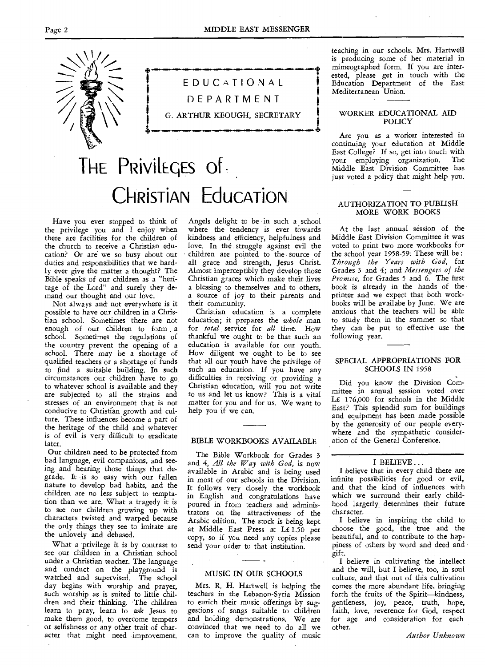**•••••••••-eme•-•••••••••-em•-•m.4m.•••••••••••••••••••••••4,** 



EDUCATIONAL DEPARTMENT G. ARTHUR KEOUGH, SECRETARY

**.§...M...ti•-••=4..M.411•11•••••••••111.41•14...M.....=••••••••••••-•401NMINNMIN-••••-+** 

# THE PRIVILEGES Of -**CHRISTIAN Education**

Have you ever stopped to think of the privilege you and I enjoy when there are facilities for the children of the church to receive a Christian education? Or are we so busy about our duties and responsibilities that we hardly ever give the matter a thought? The Bible speaks of our children as a "heritage of the Lord" and surely they demand our thought and our love.

Not always and not everywhere is it possible to have our children in a Christian school. Sometimes there are not enough of our children to form a school. Sometimes the regulations of the country prevent the opening of a school. There may be a shortage of qualified teachers or a shortage of funds to find a suitable building. In such circumstances our children have to go to whatever school is available and they are subjected to all the strains and stresses of an environment that is not conducive to Christian growth and culture. These influences become a part of the heritage of the child and whatever is of evil is very difficult to eradicate later.

Our children need to be protected from bad language, evil companions, and seeing and hearing those things that degrade. It is so easy with our fallen nature to develop bad habits, and the children are no less subject to temptation than we are. What a tragedy it is to see our children growing up with characters twisted and warped because the only things they see to imitate are the unlovely and debased.

What a privilege it is by contrast to see our children in a Christian school under a Christian teacher. The language and conduct on the playground is watched and supervised. The school day begins with worship and prayer, such worship as is suited to little children and their thinking. The children learn to pray, learn to ask Jesus to make them good, to overcome tempers or selfishness or any other trait of character that might need improvement.

Angels delight to be in such a school where the tendency is ever towards kindness and efficiency, helpfulness and love. In the struggle against evil the children are pointed to the- source of all grace and strength, Jesus Christ. Almost imperceptibly they develop those Christian graces which make their lives a blessing to themselves and to others, a source of joy to their parents and their community.

Christian education is a complete education; it prepares the *whole* man for *total* service for *all* time. How thankful we ought to be that such an education is available for our youth. How diligent we ought to be to see that all our youth have the privilege of such an education. If you have any difficulties in receiving or providing a Christian education, will you not write to us and let us know? This is a vital matter for you and for us. We want to help you if we can.

#### BIBLE WORKBOOKS AVAILABLE

The Bible Workbook for Grades 3 and 4, *All the Way with God,* is now available in Arabic and is being used in most of our schools in the Division. It follows very closely the workbook in English and congratulations have poured in from teachers and administrators on the attractiveness of the Arabic edition. The stock is being kept at Middle East Press at L£ 1.50 per copy, so if you need any copies please send your order to that institution.

#### MUSIC IN OUR SCHOOLS

Mrs. R. H. Hartwell is helping the teachers in the Lebanon-Syria Mission to enrich their music offerings by *suggestions* of songs suitable to children and holding demonstrations. We are convinced that we need to do all we can to improve the quality of music teaching in our schools. Mrs. Hartwell is producing some of her material in mimeographed form. If you are interested, please get in touch with the Education Department of the East Mediterranean Union.

#### WORKER EDUCATIONAL AID POLICY

Are you as a worker interested in continuing your education at Middle East College? If so, get into touch with<br>vour employing organization. The your employing organization. Middle East Division Committee has just voted a policy that might help you.

#### AUTHORIZATION TO PUBLISH MORE WORK BOOKS

At the last annual session of the Middle East Division Committee it was voted to print two more workbooks for the school year 1958-59. These will be : *Through the Years with God,* for Grades 3 and 4; and *Messengers of the Promise,* for Grades 5 and 6. The first book is already in the hands of the printer and we expect that both workbooks will be availabe by June. We are anxious that the teachers will be able to study them in the summer so that they can be put to effective use the 'following year.

#### SPECIAL APPROPRIATIONS FOR SCHOOLS IN 1958

Did you know the Division Committee in annual session voted over L£ 176,000 for schools in the Middle East? This splendid sum for buildings and equipment has been made possible by the generosity of our people everywhere and the sympathetic consideration of the General Conference.

#### I BELIEVE ...

I believe that in every child there are infinite possibilities for good or evil, and that the kind of influences with which we surround their early childhood largerly determines their future character.

I believe in inspiring the child to choose the good, the true and the beautiful, and to contribute to the happiness of others by word and deed and gift.

I believe in cultivating the intellect and the will, but I believe, too, in soul culture, and that out of this cultivation comes the more abundant life, bringing forth the fruits of the Spirit—kindness, gentleness, joy, peace, truth, hope, faith, love, reverence for God, respect for age and consideration for each other.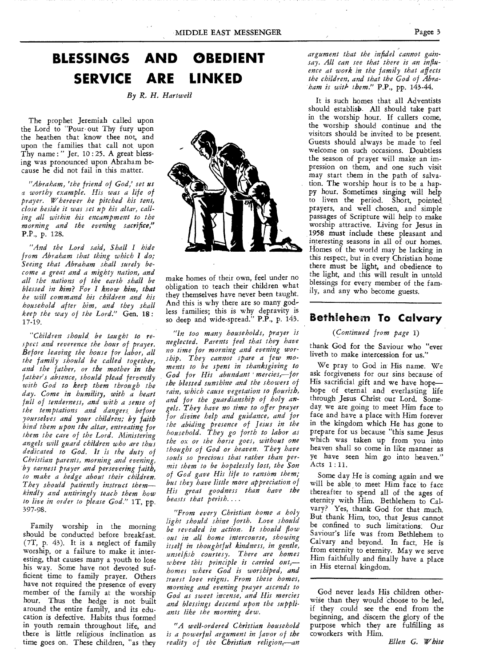## **BLESSINGS AND OBEDIENT SERVICE ARE LINKED**

*By R. H. Hartwell* 

The prophet Jeremiah called upon the Lord to "Pour out Thy fury upon the heathen that know thee not, and upon the families that call not upon Thy name:" Jer.  $10:25$ . A great blessing was pronounced upon Abraham because he did not fail in this matter.

*"Abraham, 'the friend of God,' set us a worthy example. His was a life of prayer. Wherever he pitched his tent, close beside it was set up his altar, calling all within his encampment to the morning and the evening sacrifice,"*  P.P., p. 128.

*"And the Lord said, Shall I hide from Abraham that thing which I do; Seeing that Abraham shall surely become a great and a mighty nation, and all the nations of the earth shall be blessed in him? For I know him, that he will command his children and his household after him, and they shall keep the way of the Lord."* Gen. 18 : 17-19.

*"Children should be taught to respect and reverence the hour of prayer. Before leaving the house for labor, all the family should be called together, and the father, or the mother in the father's absence, should plead fervently with God to keep them through the day. Come in humility, with a heart full of tenderness, and with a sense of the temptations and dangers. before yourselves and your children; by faith hind them upon the altar, entreating for them the care of the Lord. Ministering angels will guard children who are thus dedicated to God. It is the duty of Christian parents, morning and evening, by earnest prayer and persevering faith, to make a hedge about their children. They should patiently instruct them kindly and untiringly teach them how to live in order to please God."* 1T, pp. 397-98.

Family worship in the morning should be conducted before breakfast. (7T, p. 43). It is a neglect of family worship, or a failure to make it interesting, that causes many a youth to lose his way. Some have not devoted sufficient time to family prayer. Others have not required the presence of every member of the family at the worship hour. Thus the hedge is not built around the entire family, and its education is defective. Habits thus formed in youth remain throughout life, and there is little religious inclination as time goes on. These children, "as they



make homes of their own, feel under no obligation to teach their children what they themselves have never been taught. And this is why there are so many godless families; this is why depravity is so deep and wide-spread." P.P., p. 143.

*"In too many households, prayer is neglected. Parents feel that they have no time for morning and evening worship. They cannot spare a few moments to be spent in thanksgiving to God for His abundant ' mercies, for the blessed sunshine and the showers of rain, which cause vegetation to flourish, and for the guardianship of holy angels. They have no time to offer prayer for divine help and guidance, and for the abiding presence of Jesus in the household. They go forth to labor as the ox or the horse goes, without one thought of God or heaven. They have souls so precious that rather than permit them to be hopelessly lost, the Son of God gave His life to ransom them; but they have little more appreciation of His great goodness than have the beasts that perish....* 

*"From every Christian home a holy light should shine forth. Love should be revealed in action. It should flow out in all home intercourse, showing itself in thoughtful kindness, in gentle, unselfish courtesy. There are homes where this principle is carried out, homes where God is worshiped, and truest love reigns. From these homes, morning and evening prayer ascends to God as sweet incense, and His mercies and blessings descend upon the suppliants like the morning dew.* 

*"A well-ordered Christian household is a powerful argument in favor of the reality of the Christian religion,—an*  *argument that the infidel cannot gainsay. All can see that there is an influence at work in the family that affects the children, and that the God of Abraham is with them."* P.P., pp. 143-44.

It is such homes that all Adventists should establish. All should take part in the worship hour. If callers come, the worship should continue and the visitors should be invited to be present. Guests should always be made to feel welcome on such occasions. Doubtless the season of prayer will make an impression on them, and one such visit may start them in the path of salvation. The worship hour is to be a happy hour. Sometimes singing will help to liven the period. Short, pointed prayers, and well chosen, and simple passages of Scripture will help to make worship attractive. Living for Jesus in 1958 must include these pleasant and interesting seasons in all of our homes. Homes of the world may be lacking in this respect, but in every Christian home there must be light, and obedience to the light, and this will result in untold blessings for every member of the family, and any who become guests.

### **Bethlehem To Calvary**

#### *(Continued from page* 1)

thank God for the Saviour who "ever liveth to make intercession for us."

We pray to God in His name. We ask forgiveness for our sins because of His sacrificial gift and we have hope hope of eternal and everlasting life through Jesus Christ our Lord. Someday, we are *going* to meet Him face to face and have a place with Him forever in the kingdom which He has gone to prepare for us because "this same Jesus which was taken up from you into heaven shall so come in like manner as ye have seen him go into heaven." Acts 1 : 11.

Some day He is coming again and we will be able to meet Him face to face thereafter to spend all of the ages of eternity with Him. Bethlehem to Calvary? Yes, thank God for that much. But thank Him, too, that Jesus cannot be confined to such limitations: Our Saviour's life was from Bethlehem to Calvary and beyond. In fact, He is from eternity to eternity. May we serve Him faithfully and finally have a place in His eternal kingdom.

God never leads His children otherwise than they would choose to be led, if they could see the end from the beginning, and discern the glory of the purpose which they are fulfilling as coworkers with Him.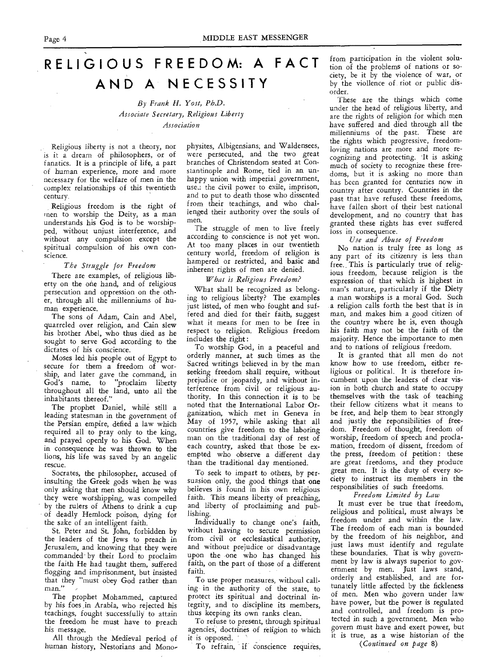## **RELIGIOUS FREEDOM: A FACT AND A NECESSITY**

#### *By Frank H. Yost, Ph.D. Associate Secretary, Religious Liberty Association*

Religious liberty is not a theory, nor is it a dream of philosophers, or of fanatics. It is a principle of life, a part of human experience, more and more necessary for the welfare of men in the complex relationships of this twentieth century.

Religious freedom is the right of men to worship the Deity, as a man understands his God is to be worshipped, without unjust interference, and without any compulsion except the spiritual compulsion of his own conscience.

#### *The Struggle for Freedom*

There are examples, of religious liberty on the one hand, and of religious persecution and oppression on the other, through all the millenniums of human experience.

The sons of Adam, Cain and Abel, quarreled over religion, and Cain slew his brother Abel, who thus died as he sought to serve God according to the dictates of his conscience.

Moses led his people out of Egypt to secure for them a freedom of worship, and later gave the command, in God's name, to "proclaim liberty throughout all the land, unto all the inhabitants thereof."

The prophet Daniel, while still a leading statesman in the government of the Persian empire, defied a law which required all to pray only to the king, and prayed openly to his God. When in consequence he was thrown to the lions, his life was saved by an angelic rescue.

Socrates, the philosopher, accused of insulting the Greek gods when he was only asking that men should know why they were worshipping, was compelled by the rulers of Athens to drink a cup of deadly Hemlock poison, dying for the sake of an intelligent faith.

St. Peter and St. John, forbidden by the leaders of the Jews to preach in Jerusalem, and knowing that they were commanded by their Lord to proclaim the faith He had taught them, suffered flogging and imprisonment, but insisted that they "must obey God rather than man."

The prophet Mohammed, captured by his foes \_in Arabia, who rejected his teachings, fought successfully to attain the freedom he must have to preach his message.

All through the Medieval period of human history, Nestorians and Monophysites, Albigensians, and Waldensees, were persecuted, and the two great branches of Christendom seated at Constantinople and Rome, tied in an unhappy union with imperial government, use, the civil power to exile, imprison, and to put to death those who dissented from their teachings, and who challenged their authority over the souls of men.

The struggle of men to live freely according to conscience is not yet won. At too many places in our twentieth century world, freedom of religion is hampered or restricted, and basic and inherent rights of men are denied.

#### *What is Religious Freedom?*

What shall be recognized as belonging to religious liberty? The examples just listed, of men who fought and suffered and died for their faith, suggest what it means for men to be free in respect to religion. Religious freedom includes the right :

To worship God, in a peaceful and orderly manner, at such times as the Sacred writings believed in by the man seeking freedom shall require, without prejudice or jeopardy, and without interference from civil or religious authority. In this connection it is to be noted that the International Labor Organization, which met in Geneva in May of 1957, while asking that all countries give freedom to the laboring man on the traditional day of rest of each country, asked that those be exempted who observe a different day than the traditional day mentioned.

To seek to impart to others, by persuasion only, the good things that one believes is found in his own religious faith. This means liberty of preaching, and liberty of proclaiming and publishing.

Individually to change one's faith, without having to secure permission from civil or ecclesiastical authority, and without prejudice or disadvantage upon the one who has changed his faith, on the part of those of a different faith.

To use proper measures, withoul calling in the authority of the state, to protect its spiritual and doctrinal integrity, and to discipline its members, thus keeping its own ranks clean.

To refuse to present, through spiritual agencies, doctrines of religion to which it is opposed.

To refrain, if conscience requires,

from participation in the violent solution of the problems of nations or society, be it by the violence of war, or by the viollence of riot or public disorder.

These are the things which come under the head of religious liberty, and are the rights of religion for which men have suffered and died through all the millenniums of the past. These are the rights which progressive, freedomloving nations are more and more recognizing and protecting. It is asking much of society to recognize these freedoms, but it is asking no more than has been granted for centuries now in country after country. Countries in the past that have refused these freedoms, have fallen short of their best national development, and no country that has granted these rights has ever suffered loss in consequence.

#### *Use and Abuse of Freedom*

No nation is truly free as long as any part of its citizenry is less than free. This is particularly true of religious freedom, because religion is the expression of that which is highest in man's nature, particularly if the Diety a man worships is a moral God. Such a religion calls forth the best that is in man, and makes him a good citizen of the country where he is, even though his faith may not be the faith of the majority. Hence the importance to men and to nations of religious freedom.

It is granted that all men do not know how to use freedom, either religious or political. It is therefore incumbent upon the leaders of clear vision in both church and state to occupy themselves with the task of teaching their fellow citizens what it means to be free, and help them to bear strongly and justly the reponsibilities of freedom. Freedom of thought, freedom of worship, freedom of speech and proclamation, freedom of dissent, freedom of the press, freedom of petition: these are great freedoms, and they produce great men. It is the duty of every society to instruct its members in the responsibilities of such freedoms.

#### *Freedom Limited by Law*

*It* must ever be true that freedom, religious and political, must always be freedom under and within the law. The freedom of each man is bounded by the freedom of his neighbor, and just laws must identify and regulate these boundaries. That is why government by law is always superior to government by men. Just laws stand, orderly and established, and are fortunately little affected by the fickleness of men. Men who govern under law have power, but the power is regulated and controlled, and freedom is protected in such a government. Men who govern must have and exert power, but it is true, as a wise historian of the

*(Continued on page* 8)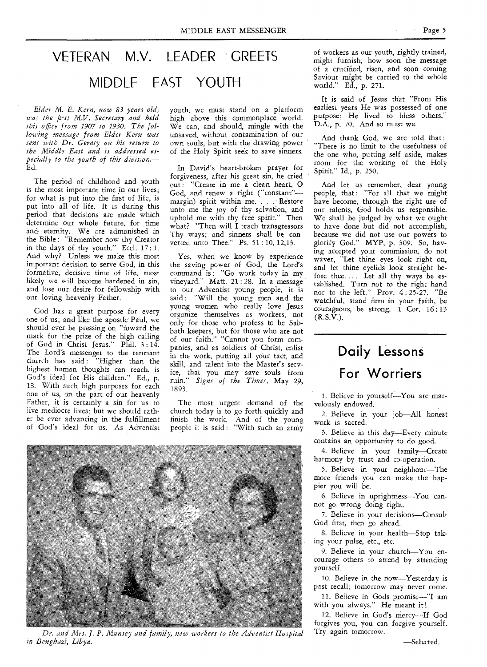## VETERAN M.V. LEADER GREETS MIDDLE EAST YOUTH

*Elder M. E. Kern, now 83 years old, was the first M.V. Secretary and held this office from 1907 to 1930. The following message from Elder Kern was sent with Dr. Geraty on his return to the Middle East and is addressed especially to the youth of this division.—* Ed.

The period of childhood and youth is the most important time in our lives; for what is put into the first of life, is put into all of life. It is during this period that decisions are made which determine our whole future, for time and. eternity. We are admonished in the Bible : "Remember now thy Creator in the days of thy youth." Eccl. 17: 1. And why? Unless we make this most important decision to serve God, in this formative, decisive time of life, most likely we will become hardened in sin, and lose our desire for fellowship with our loving heavenly Father.

God has a great purpose for every one of us; and like the apostle Paul, we should ever be pressing on "foward the mark for the prize of the high calling of God in Christ Jesus." Phil. 3 : 14. The Lord's messenger to the remnant church has said: "Higher than the highest human thoughts can reach, is God's ideal for His children." Ed., p. 18. With such high purposes for each one of us, on the part of our heavenly Father, it is certainly a sin for us to live mediocre lives; but we should rather be ever advancing in the fulfillment of God's ideal for us. As Adventist

youth, we must stand on a platform high above this commonplace world. We can, and should, mingle with the unsaved, without contamination of our own souls, but with the drawing power of the Holy Spirit seek to save sinners.

In David's heart-broken prayer for forgiveness, after his great sin, he cried out : "Create in me a clean heart, O God, and renew a right ("constant" margin) spirit within me. . . . Restore unto me the joy of thy salvation, and uphold me with thy free spirit." Then what? "Then will  $\overline{I}$  teach transgressors Thy ways; and sinners shall be converted unto Thee." Ps. 51 : 10, 12,13.

Yes, when we know by experience the saving power of God, the Lord's command is: "Go work today in my vineyard." Matt. 21 : 28. In a message to our Adventist young people, it is said : "Will the young men and the young women who really love Jesus organize themselves as workers, not only for those who profess to be Sabbath keepers, but for those who are not of our faith." "Cannot you form companies, and as soldiers of Christ, enlist in the work, putting all your tact, and skill, and talent into the Master's service, that you may save souls from ruin." *Signs of the Times,* May 29, 1893.

The most urgent demand of the church today is to go forth quickly and finish the work. And of the young people it is said : "With such an army



*Dr. and Mrs. J. P. Munsey and family, new workers to the Adventist Hospital in Benghazi, Libya.* 

of workers as our youth, rightly trained, might furnish, how soon the message of a crucified, risen, and soon coming Saviour might be carried to the whole world." Ed., p. 271.

It is said of Jesus that "From His earliest years He was possessed of one purpose; He lived to bless others." D.A., p. 70. And so must we.

And thank God, we are told that: "There is no limit to the usefulness of the one who, putting self aside, makes room for the working of the Holy Spirit." Id., p. 250.

And let us remember, dear young people, that: "For all that we might have become, through the right use of our talents, God holds us responsible. We shall be judged by what we ought to have done but did not accomplish, because we did not use our powers to glorify God." MYP, p. 309. So, having accepted your commission, do not waver, "Let thine eyes look right on, and let thine eyelids look straight before thee.... Let all thy ways be established. Turn not to the right hand nor to the left." Prov. 4 : 25-27. "Be watchful, stand firm in your faith, be courageous, be strong. 1 Cor. 16 : 13 (R.S.V.).

## **Daily Lessons For Worriers**

1. Believe in yourself—You are marvelously endowed.

2. Believe in your job—All honest work is sacred.

3. Believe in this day—Every minute contains an opportunity to do good.

4. Believe in your family—Create harmony by trust and co-operation.

5. Believe in your neighbour—The more friends you can make the happier you will be.

6. Believe in uprightness—You cannot go wrong doing right.

7. Believe in your decisions—Consult God first, then go ahead.

8. Believe in your health—Stop taking your pulse, etc., etc.

9. Believe in your church—You encourage others to attend by attending yourself.

10. Believe in the now—Yesterday is past recall; tomorrow may never come.

11. Believe in Gods promise—"I am with you always." He meant it!

12. Believe in God's mercy-If God forgives you, you can forgive yourself. Try again tomorrow.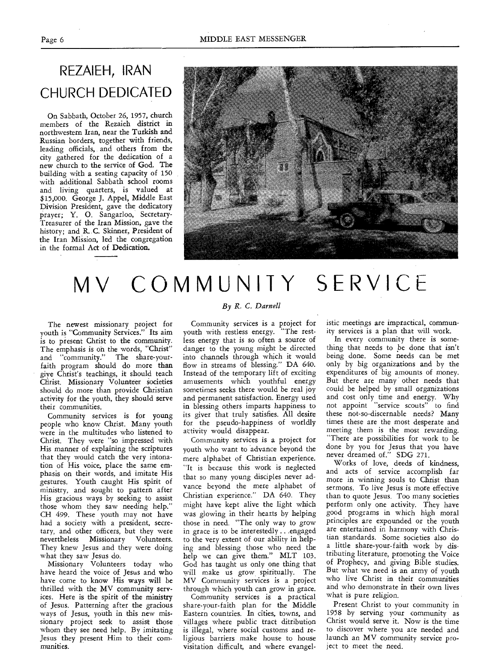## REZAIEH, IRAN CHURCH DEDICATED

On Sabbath, October 26, 1957, church members of the Rezaieh district in northwestern Iran, near the Turkish and Russian borders, together with friends, leading officials, and others from the city gathered for the dedication of a new church to the service of God. The building with a seating capacity of 150 with additional Sabbath school rooms and living quarters, is valued at \$15,000. George J. Appel, Middle East Division President, gave the dedicatory prayer; Y. 0. Sangarloo, Secretary-Treasurer of the Iran Mission, gave the history; and R. C. Skinner, President of the Iran Mission, led the congregation in the formal Act of Dedication.



# MV COMMUNITY SERVICE

The newest missionary project for youth is "Community Services." Its aim is to present Christ to the community. The emphasis is on the words, "Christ" and "community." The share-yourfaith program should do more than give Christ's teachings, it should teach Christ. Missionary Volunteer societies should do more than provide Christian activity for the youth, they should serve their communities.

Community services is for young people who know Christ. Many youth were in the multitudes who listened to Christ. They were "so impressed with His manner of explaining the scriptures that they would catch the very intonation of His voice, place the same emphasis on their words, and imitate His gestures. Youth caught His spirit of ministry, and sought to pattern after His gracious ways by seeking to assist those whom they saw needing help." CH 499. These youth may not have had a society with a president, secretary, and other officers, but they were nevertheless Missionary Volunteers. They knew Jesus and they were doing what they saw Jesus do.

Missionary Volunteers today who have heard the voice of Jesus and who have come to know His ways will be thrilled with the MV community services. Here is the spirit of the ministry of Jesus. Patterning after the gracious ways of Jesus, youth in this new missionary project seek to assist those whom they see need help. By imitating Jesus they present Him to their communities.

#### *By R. C. Darnell*

Community services is a project for youth with restless energy. "The restless energy that is so often a source of danger to the young might be directed into channels through which it would flow in streams of blessing." DA 640. Instead of the temporary lift of exciting amusements which youthful energy sometimes seeks there would be real joy and permanent satisfaction. Energy used in blessing others imparts happiness to its giver that truly satisfies. All desire for the pseudo-happiness of worldly activity would disappear.

Community services is a project for youth who want to advance beyond the mere alphabet of Christian experience. "It is because this work is neglected that so many young disciples never advance beyond the mere alphabet of Christian experience." DA 640. They might have kept alive the light which was glowing in their hearts by helping those in need. "The only way to grow in grace is to be interestedly ...engaged to the very extent of our ability in helping and blessing those who need the help we can give them." MLT 103. God has taught us only one thing that will make us grow spiritually. The MV Community services is a project through which youth can grow in grace.

Community services is a practical share-your-faith plan for the Middle Eastern countries. In cities, towns, and villages where public tract ditribution is illegal, where social customs and religious barriers make house to house visitation difficult, and where evangelistic meetings are impractical, community services is a plan that will work.

In every community there is something that needs to be done that isn't being done. Some needs can be met only by big organizations and by the expenditures of big amounts of money. But there are many other needs that could be helped by small organizations and cost only time and energy. Why not appoint "service scouts" to find these not-so-discernable needs? Many times these are the most desperate and meeting them is the most rewarding. "There are possibilities for work to be done by you for Jesus that you have never dreamed of." SDG 271.

Works of love, deeds of kindness, and acts of service accomplish far more in winning souls to Christ than sermons. To live Jesus is more effective than to quote Jesus. Too many societies perform only one activity. They have good programs in which high moral principles are expounded or the youth are entertained in harmony with Christian standards. Some societies also do a little share-your-faith work by distributing literature, promoting the Voice of Prophecy, and giving Bible studies. But what we need is an army of youth who live Christ in their communities and who demonstrate in their own lives what is pure religion.

Present Christ to your community in 1958 by serving your community as Christ would serve it. Now is the time to discover where you are needed and launch an MV community service project to meet the need.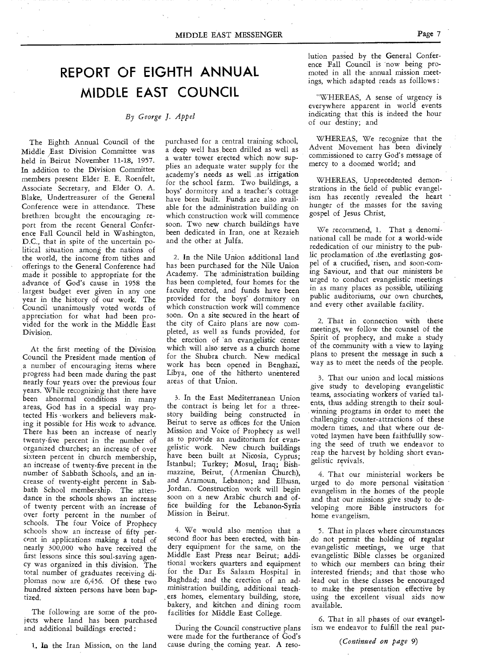## **REPORT OF EIGHTH ANNUAL MIDDLE EAST COUNCIL**

#### *By George J. Appel*

The Eighth Annual Council of the Middle East Division Committee was held in Beirut November 11-18, 1957. In addition to the Division Committee members present Elder E. E. Roenfelt, Associate Secretary, and Elder 0. A. Blake, Undertreasurer of the General Conference were in attendance. These brethren brought the encouraging report from the recent General Conference Fall Council held in Washington, D.C., that in spite of the uncertain political situation among the nations of the world, the income from tithes and offerings to the General Conference had made it possible to appropriate for the advance of God's cause in 1958 the largest budget ever given in any one year in the history of our work. The Council unanimously voted words of appreciation for what had been provided for the work in the Middle East Division.

At the first meeting of the Division Council the President made mention of a number of encouraging items where progress had been made during the past nearly four years over the previous four years. While recognizing that there have been abnormal conditions in many areas, God has in a special way protected His workers and believers making it possible for His work to advance. There has been an increase of nearly twenty-five percent in the number of organized churches; an increase of over sixteen percent in church membership, an increase of twenty-five precent in the number of Sabbath Schools, and an increase of twenty-eight percent in Sabbath School membership. The attendance in the schools shows an increase of twenty percent with an increase of over forty percent in the number of schools. The four Voice of Prophecy schools show an increase of fifty percent in applications making a total of nearly 300,000 who have received the first lessons since this soul-saving agency was organized in this division. The total number of graduates receiving diplomas now are 6,456. Of these two hundred sixteen persons have been baptized.

The following are some of the projects where land has been purchased and additional buildings erected :

1. In the Iran Mission, on the land

purchased for a central training school, a deep well has been drilled as well as a water tower erected which now supplies an adequate water supply for the academy's needs as well as irrigation for the school farm. Two buildings, a boys' dormitory and a teacher's cottage have been built. Funds are also available for the administration building on which construction work will commence soon. Two new church buildings have been dedicated in Iran, one at Rezaieh and the other at Julfa.

2. In the Nile Union additional land has been purchased for the Nile Union Academy. The administration building has been completed, four homes for the faculty erected, and funds have been provided for the boys' dormitory on which construction work will commence soon. On a site secured in the heart of the city of Cairo plans are now completed, as well as funds provided, for the erection of an evangelistic center which will also serve as a church home for the Shubra church. New medical work has been opened in Benghazi, Libya, one of the hitherto unentered areas of that Union.

3. In the East Mediterranean Union the contract is being let for a threestory building being constructed in Beirut to serve as offices for the Union Mission and Voice of Prophecy as well as to provide an auditorium for evangelistic work. New church buildings have been built at Nicosia, Cyprus; Istanbul; Turkey; Mosul, Iraq; Bishmazzine, Beirut, (Armenian Church), and Aramoun, Lebanon; and Elhusn, Jordan. Construction work will begin soon on a new Arabic church and office building for the Lebanon-Syria Mission in Beirut.

4. We would also mention that a second floor has been erected, with bindery equipment for the same, on the Middle East Press near Beirut; additional workers quarters and equipment for the Dar Es Salaam Hospital in Baghdad; and the erection of an administration building, additional teachers homes, elementary building, store, bakery, and kitchen and dining room facilities for Middle East College.

During the Council constructive plans were made for the furtherance of God's cause during the coming year. A resolution passed by the General Conference Fall Council is "now being promoted in all the annual mission meetings, which adapted reads as folllows :

"WHEREAS, A sense of urgency is everywhere apparent in world events indicating that this is indeed the hour of our destiny; and

WHEREAS, We recognize that the Advent Movement has been divinely commissioned to carry God's message of mercy to a doomed world; and

WHEREAS, Unprecedented demonstrations in the field of public evangelism has recently revealed the heart hunger of the masses for the saving gospel of Jesus Christ,

We recommend, 1. That a denominational call be made for a world-wide rededication of our ministry to the public proclamation of .the everlasting gospel of a crucified, risen, and soon-coming Saviour, and that our ministers be urged to conduct evangelistic meetings in as many places as possible, utilizing public auditoriums, our own churches, and every other available facility.

2. That in connection with these meetings, we follow the counsel of the Spirit of prophecy, and make a study of the community with a view to laying plans to present the message in such a way as to meet the needs of the people.

3. That our union and local missions give study to developing evangelistic teams, associating workers of varied talents, thus adding strength to their soulwinning programs in order to meet the challenging counter-attractions of these modern times, and that where our devoted laymen have been faithfully sowing the seed of truth we endeavor to reap the harvest by holding short evangelistic revivals.

4. That our ministerial workers be urged to do more personal visitation evangelism in the homes of the people and that our missions give study to developing more Bible instructors for home evangelism.

5. That in places where circumstances do not permit the holding of regular evangelistic meetings, we urge that evangelistic Bible classes be organized to which our members can bring their interested friends; and that those who lead out in these classes be encouraged to make the presentation effective by using the excellent visual aids now available.

6. That in all phases of our evangelism we endeavor to fulfill the real pur-

*(Continued on page* 9)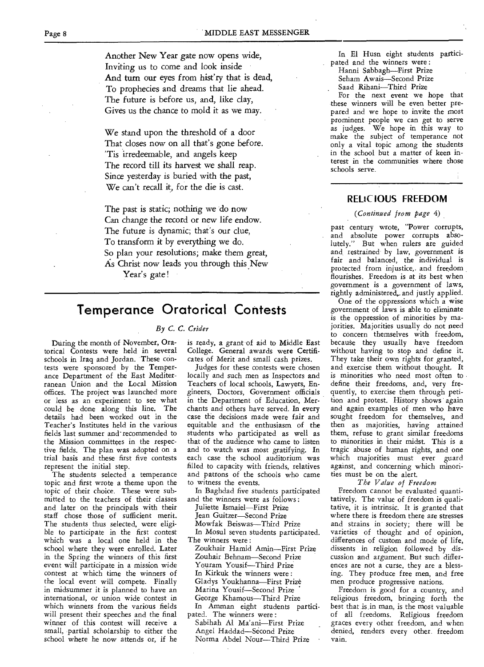Another New Year gate now opens wide, Inviting us to come and look inside And turn our eyes from hist'ry that is dead, To prophecies and dreams that lie ahead. The future is before us, and, like clay, Gives us the chance to mold it as we may.

We stand upon the threshold of a door That closes now on all that's gone before. 'Tis irredeemable, and angels keep The record till its harvest we shall reap. Since yesterday is buried with the past, We can't recall it, for the die is cast.

The past is static; nothing we do now Can change the record or new life endow. The future is dynamic; that's our clue, To transform it by everything we do. So plan your resolutions; make them great, As Christ now leads you through this New

Year's gate!

### **Temperance Oratorical Contests**

#### *By C. C. Crider*

**During the month of November, Oratorical** Contests were held in several schools in Iraq and Jordan. These contests were sponsored by the Temperance Department of the East Mediterranean Union and the Local Mission offices. The project was launched more or less as an experiment to see what could be done along this line. The details had been worked out in the Teacher's Institutes held in the various fields last summer and- recommended to the Mission committees in the respective fields. The plan was adopted on a trial basis and these first five contests represent the initial step.

The students selected a temperance topic and first wrote a theme upon the topic of their choice. These were submitted to the teachers of their classes and later on the principals with their staff chose those of sufficient merit. The students thus selected, were eligible to participate in the first contest which was a local one held in the school where they were enrolled. Later in the Spring the winners of this first event will participate in a mission wide contest at which time the winners of the local event will compete. Finally in midsummer it is planned to have an international, or union wide contest in which winners from the various fields will present their speeches and the final winner of this contest will receive a small, partial scholarship to either the school where he now attends or, if he is ready, a grant of aid to Middle East College. General awards were Certificates of Merit and small cash prizes.

Judges for these contests were chosen locally and such men as Inspectors and Teachers of local schools, Lawyers, Engineers, Doctors, Government officials in the Department of Education, Merchants and others have served. In every case the decisions made were fair and equitable and the enthusiasm of the students who participated as well as that of the audience who came to listen and to watch was most gratifying. **In**  each case the school auditorium was filled to capacity with friends, relatives and patrons of the schools who came to witness the events.

In Baghdad five students participated and the winners were as follows :

- Juliette Ismaiel—First Prize Jean Guitzer—Second Prize Mowfak Beiswas—Third Prize In Mosul seven students participated. The winners were :
- Zoukhair Hamid Amin—First Prize Zouhair Behnam—Second Prize Youram Yousif—Third Prize In Kirkuk the winners were : Gladys Youkhanna—First Prize Marina Yousif—Second Prize George Khamous—Third Prize In Amman eight students participated. The winners were :
- Sabihah Al Ma'ani—First Prize Angel Haddad—Second Prize Norma Abdel Nour-Third Prize

In El Husn eight students participated and the winners were :

Hanni Sabbagh—First Prize Seham Awais—Second Prize Saad Rihani—Third Prize

For the next event we hope that these winners will be even better prepared and we hope to invite the most prominent people we can get to serve as judges. We hope in this way to make the subject of temperance not only a vital topic among the students in the school but a matter of keen interest in the communities where those schools serve.

#### **RELIC IOUS FREEDOM**

#### *(Continued from page* 4)

past century wrote, "Power corrupts, and absolute power corrupts absolutely." But when rulers are guided and restrained by law, government is fair and balanced, the individual is protected from injustice, and freedom flourishes. Freedom is at its best when government is a government of laws, rightly administered, and justly applied.

One of the oppressions which a wise government of laws is able to eliminate is the oppression of minorities by majorities. Majorities usually do not need to concern themselves with freedom, because they usually have freedom without having to stop and define it. They take their own rights for granted, and exercise them without thought. It is minorities who need most often to define their freedoms, and, very frequently, to exercise them through petition and protest. History shows again and again examples of men who have sought freedom for themselves, and then as majorities, having attained them, refuse to grant similar freedoms to minorities in their midst. This is a tragic abuse of human rights, and one which majorities must ever guard against, and concerning which minorities must be on the alert.

#### *The Value of Freedom*

Freedom cannot be evaluated quantitatively. The value of freedom is qualitative, it is intrinsic. It is granted that where there is freedom there are stresses and strains in society; there will be varieties of thought and of opinion, differences of custom and mode of life, dissents in religion followed by discussion and argument. But such differences are not a curse, they are a blessing. They produce free men, and free men produce progressive nations.

Freedom is good for a country, and religious freedom, bringing forth the best that is,in man, is the most valuable of all freedoms. Religious freedom graces every other freedom, and when denied, renders every other freedom vain.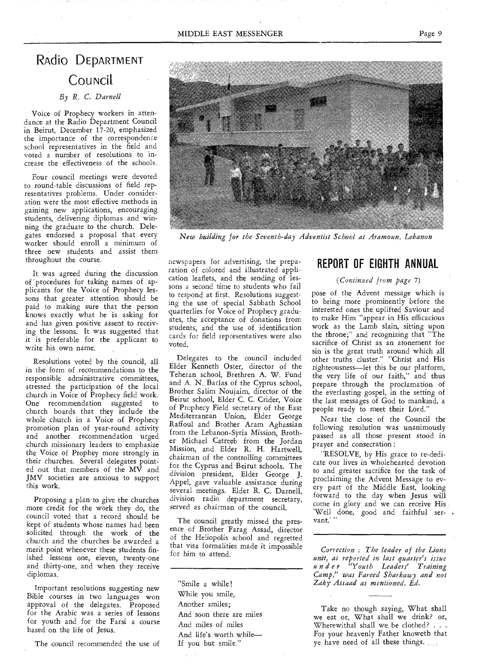## RAdio DEPARTMENT **COUNCIL**

*By R. C. Darnell* 

Voice of Prophecy workers in attendance at the Radio Department Council in Beirut, December 17-20, emphasized the importance of the correspondence school representatives in the field and voted a number of resolutions to increase the effectiveness of the schools.

Four council meetings were devoted to round-table discussions of field representatives problems. Under consideration were the most effective methods in gaining new applications, encouraging students, delivering diplomas and winning the graduate to the church. Delegates endorsed a proposal that every worker should enroll a minimum of three new students and assist them throughout the course.

It was agreed during the discussion of 'procedures for taking names of applicants for the Voice of Prophecy lessons that greater attention should be paid to making sure that the person knows exactly what he is asking for and has given positive assent to receiving the lessons. It was suggested that it is preferable for the applicant to write his own name.

Resolutions voted by the council, all in the form of recommendations to the responsible administrative committees, stressed the participation of the local church in Voice of Prophecy field work. One recommendation suggested to church boards that they include the whole church in a Voice of Prophecy promotion plan of year-round activity and another recommendation urged church missionary leaders to emphasize the Voice of Prophey more strongly in their churches. Several delegates pointed out that members of the MV and JMV societies are anxious to support this work.

Proposing a plan to give the churches more credit for the work they do, the council voted that a record should be kept of students whose names had been solicited through the work of the church and the churches be awarded a merit point whenever these students finished lessons one, eleven, twenty-one and thirty-one, and when they receive diplomas.

Important resolutions suggesting new Bible courses in two languages won approval of the delegates. Proposed for the Arabic was a series of lessons for youth and for the Farsi a course based on the life of Jesus.

The council recommended the use of

newspapers for advertising, the preparation of colored and illustrated application leaflets, and the sending of lessons a second time to students who fail to respond at first. Resolutions suggesting the use of special Sabbath School quarterlies for Voice of Prophecy graduates, the acceptance of donations from students, and the use of identification cards for field representatives were also voted.

Delegates to the council included Elder Kenneth Oster, director of the Teheran school, Brethren A. W. Fund and A. N. Barlas of the Cyprus school, Brother Salim Noujaim, director of the Beirut school, Elder C. C. Crider, Voice of Prophecy Field secretary of the East Mediterranean Union, Elder George Raffoul and Brother Aram Aghassian from the Lebanon-Syria Mission, Brother Michael Catreeb from the Jordan Mission, and Elder R. H. Hartwell, chairman of the controlling committees for the Cyprus and Beirut schools. The division president, Elder George J. Appel, gave valuable assistance during several meetings. Elder R. C. Darnell, division radio department secretary, served as chairman of the council.

The council greatly missed the presence of Brother Farag Assad, director *of* the Heliopolis school and regretted that visa formalities made it impossible for him to attend.

"Smile a while ! While you smile, Another smiles; And soon there are miles And miles of miles And life's worth while— If you but smile."

### **REPORT OF EIGHTH ANNUAL**

#### *(Continued from page 7)*

pose of the Advent message which is to bring more prominently before the interested ones the uplifted Saviour and to make Him "appear in. His efficacious work as the Lamb slain, sitting upon the throne;" and recognizing that "The sacrifice of Christ as an atonement for sin is the great truth around which all other truths cluster." "Christ and His righteousness--let this be our platform, the very life of our faith," and thus prepare through the proclamation of the everlasting gospel, in the setting of the last messages of God to mankind, a people ready to meet their Lord."

Near the close of the Council the following resolution was unanimously passed as all those present stood in prayer and consecration :

"RESOLVE, by His grace to re-dedicate our lives in wholehearted devotion to and greater sacrifice for the task of proclaiming the Advent Message to every part of the Middle East, looking forward to the day when Jesus will come in glory and we can receive His `Well done, good and faithful servant.' "

*Correction : The leader of the Lions unit, as reported in last quarter's issue under "Youth Leaders' Training Camp," was. Fareed Sharkawy and not Zaky- Assaad as mentioned. Ed.* 

Take no though saying, What shall we eat or, What shall we drink? or, Wherewithal shall we, be clothed? . . . For your heavenly Father knoweth that ye have need of all these things.

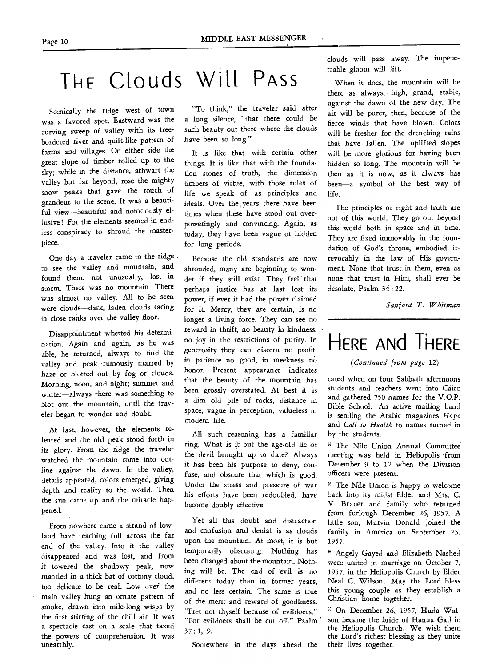# THE Clouds Will Pass

Scenically the ridge west of town was a favored spot. Eastward was the curving sweep of valley with its treebordered river and quilt-like pattern of farms and villages. On either side the great slope of timber rolled up to the sky; while in the distance, athwart the valley but far beyond, rose the mighty snow peaks that gave the touch of grandeur to the scene. It was a beautiful view—beautiful and notoriously ellusive ! For the elements seemed in endless conspiracy to shroud the masterpiece.

One day a traveler came to the ridge. to see the valley and mountain, and found them, not unusually, lost in storm. There was no mountain. There was almost no valley. All to be seen were clouds—dark, laden clouds racing in close ranks over the valley floor.

Disappointment whetted his determination. Again and again, as he was able, he returned, always to find the valley and peak 'ruinously marred by haze or blotted out by fog or clouds. Morning, noon, and night; summer and winter—always there was something to blot out the mountain, until the traveler began to wonder and doubt.

At last, however, the elements relented and the old peak stood forth in its glory. From the ridge the traveler watched the mountain come into outline against the dawn. In the valley, details appeared, colors emerged, giving depth and reality to the world. Then the sun came up and the miracle happened.

From nowhere came a strand of lowland haze reaching full across the far end of the valley. Into it the valley disappeared and was lost, and from it towered the shadowy peak, now mantled in a thick bat of cottony cloud, too delicate to be real. Low over' the main valley hung an ornate pattern of smoke, drawn into mile-long wisps by the first stirring of the chill air. It was a spectacle cast on a scale that taxed the powers of comprehension. It was unearthly.

"To think," the traveler said after a long silence, "that there could be such beauty out there where the clouds have been so long."

It is like that with certain other things. It is like that with the foundation stones of truth, the dimension timbers of virtue, with those rules of life we speak of as principles and ideals. Over the years there have been times when these have stood out overpoweringly and convincing. Again, as today, they have been vague or hidden for long periods.

Because the old standards are now shrouded, many are beginning to wonder if they, still exist. They feel' that perhaps justice has at last lost its power, if ever it had the power claimed for it. Mercy, they are certain, is no longer a living force. They can see no reward in thrift, no beauty in kindness, no joy in the restrictions of purity. In generosity they can discern no profit, in patience no good, in meekness no honor. Present appearance indicates that the beauty of the mountain has been grossly overstated. At best it is a dim old pile of rocks, distance in space, vague in perception, valueless in modern life.

All such reasoning has a familiar ring. What is it but the age-old lie of the devil brought up to date? Always it has been his purpose to deny, confuse, and obscure that which is good. Under the stress and pressure of war his efforts have been redoubled, have become doubly effective.

Yet all this doubt and distraction and confusion and denial is as clouds upon the mountain. At most, it is but temporarily obscuring. Nothing has been changed about the mountain. Nothing will be. The end of evil is no different today than in former years, and no less certain. The same is true of the merit and reward of goodliness. "Fret not thyself because of evildoers." "For evildoers shall be cut off." Psalm 37 : 1, 9.

Somewhere in the days ahead the

clouds will pass away. The impenetrable gloom will lift.

When it does, the mountain will be there as always, high, grand, stable, against the dawn of the 'new day. The air will be purer, then, because of the fierce winds that have blown. Colors will be fresher for the drenching rains that have fallen. The uplifted slopes will be more glorious for having been hidden so long. The mountain will be then as it is now, as it always has been—a symbol of the best way of life.

The principles of right and truth are not of this world. They go out beyond this world both in space and in time. They are fixed immovably in the foundation of God's throne, embodied irrevocably in the law of His government. None that trust in them, even as none that trust in Him, shall ever be desolate. Psalm 34 : 22.

*Sanford T. Whitman* 

# HERE ANd THERE

*(Continued from page* 12)

cated when on four Sabbath afternoons students and teachers went into Cairo and gathered 750 names for the V.O.P. Bible School. An active mailing band is sending the Arabic magazines *Hope*  and *Call to Health* to names turned in by the students.

\* The Nile Union Annual Committe meeting was held in Heliopolis 'from December 9 to 12 when the Division officers were present.

• The Nile Union is happy to welcome back into its midst Elder and Mrs. C. V. Brauer and family who returned from furlough December 26, 1957. A little son, Marvin Donald joined the family in America on September 23, 1957.

• Angely Gayed and Elizabeth Nashed were united in marriage on October 7, 1957, in the Heliopolis Church by Elder Neal C. Wilson. May the Lord bless this young couple as they establish a Christian home together.

On December 26, 1957, Huda Watson became the bride of Hanna Gad in the Heliopolis Church. We wish them the Lord's richest blessing as they unite their lives together.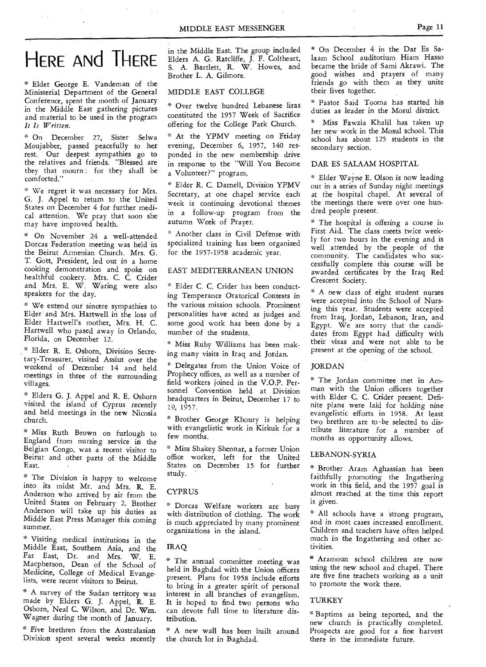# HERE AND THERE

\* Elder George E. Vandeman of the Ministerial Department of the General Conference, spent the month of January in the Middle East gathering pictures and material to be used in the program *It Is Written.* 

\* On December 27, Sister Selwa Moujabber, passed peacefully to her rest. Our deepest sympathies go to the relatives and friends. "Blessed are they that mourn : for they shall be comforted."

" We regret it was necessary for Mrs. G. J. Appel to return to the United States on December 4 for further medical attention. We pray that soon she may have improved health.

\* On November 24 a well-attended Dorcas Federation meeting was held in the Beirut Armenian Church. Mrs. G. T. Gott, President, led out in a home cooking demonstration and spoke on healthful cookery. Mrs. C. C. Crider and Mrs. E. W. Waring were also speakers for the day.

\* We extend our sincere sympathies to Elder and Mrs. Hartwell in the loss of Elder Hartwell's mother, Mrs. H. C. Hartwell who pased away in Orlando, Florida, on December 12.

Elder R. E. Osborn, Division Secretary-Treasurer, visited Assiut over the weekend of December 14 and held meetings in three of the surrounding villages.

\* Elders G. J. Appel and R. E. Osborn visited the island of Cyprus recently and held meetings in the new Nicosia church.

\* Miss Ruth Brown on furlough to England from nursing *service* in the Belgian Congo, was a recent visitor to Beirut and other parts of the Middle East.

\* The Division is happy to welcome into its midst Mr. and Mrs. R. E. Anderson who arrived by air from the United States on February 2. Brother Anderson will take up his duties as Middle East Press Manager this coming summer.

\* Visiting medical institutions in the Middle East, Southern Asia, and the Far East, Dr. and Mrs. W. E. Macpherson, Dean of the School of Medicine, College of Medical Evangelists, were recent visitors to Beirut.

\* A survey of the Sudan territory was made by Elders G. J. Appel, R. E. Osborn, Neal C. Wilson, and Dr. Wm. Wagner during the month of January.

• Five brethren from the Australasian Division spent several weeks recently in the Middle East. The group included Elders A. G. Ratcliffe, J. F. Coltheart, S. A. Bartlett, R. W. Howes, and Brother L. A. Gilmore.

#### MIDDLE EAST COLLEGE

\* Over twelve hundred Lebanese liras constituted the 1957 Week of Sacrifice offering for the College Park Church.

\* At the YPMV meeting on Friday evening, December 6, 1957, 140 responded in the new membership drive in response to the "Will You Become a Volunteer?" program.

• Elder R. C. Darnell, Division YPMV Secretary, at one chapel service each week is continuing devotional themes in a follow-up program from the autumn Week of Prayer.

• Another class in Civil Defense with specialized training has been organized for the 1957-1958 academic year.

#### EAST MEDITERRANEAN UNION

\* Elder C. C. Crider has been conducting Temperance Oratorical Contests in the various mission schools. Prominent personalities have acted as judges and some good work has been done by a number of the students.

\* Miss Ruby Williams has been making many visits in Iraq and Jordan.

• Delegates from the Union Voice of Prophecy offices, as well as a number of field workers joined in the V.O.P. Personnel Convention held at Division headquarters in Beirut, December 17 to 19, 1957.

\* Brother George Khoury is helping with evangelistic work in Kirkuk for a few months.

\* Miss Shakey Shennar, a former Union office worker, left for the United States on December 15 for further study.

#### CYPRUS

\* Dorcas Welfare workers are busy with distribution of clothing. The work is much appreciated by many prominent organizations in the island.

IRAQ

\* The annual committee meeting was held in Baghdad with the Union officers present. Plans for 1958 include efforts to bring in a greater spirit of personal interest in all branches of evangelism. It is hoped to find two persons who can devote full time to literature distribution.

\* A new wall has been built around the church lot in Baghdad.

\* On December 4 in the Dar Es Salaam School auditorium Hiam Hasso became the bride of Sami Akrawi. The good wishes and prayers of many friends go with them as they unite their lives together.

\* Pastor Said Tooma has started his duties as leader *in* the Mosul district.

Miss Fawzia Khalil has taken up her new work in the Mosul school. This school has about 125 students in the secondary section.

#### DAR ES SALAAM HOSPITAL

\* Elder Wayne E. Olson is now leading out in a series of Sunday night meetings at the hospital chapel. At several of the meetings there were over one hundred people present.

\* The hospital is offering a course in First Aid. The class meets twice weekly for two hours in the evening and is well attended by the people of the community. The candidates who successfully complete this course will be awarded certificates by the Iraq Red Crescent Society.

\* A new class of eight student nurses were accepted into the School of Nursing this year. Students were accepted from Iraq, Jordan, Lebanon, Iran, and Egypt. We are sorry that the candidates from Egypt had difficulty with their visas and were not able to be present at the opening of the school.

#### JORDAN

\* The Jordan committee met in Amman with the Union officers together with Elder C. C. Crider present. Definite plans were laid for holding nine evangelistic efforts in 1958. At least two brethren are to be selected to distribute literature for a number of months as opportunity allows.

#### LEBANON-SYRIA

\* Brother Aram Aghassian has been faithfully promoting the Ingathering work in this field, and the 1957 goal is almost reached at the time this report is given.

\* All schools have a strong program, and in most cases increased enrollment. Children and teachers have often helped much in the Ingathering and other activities.

\* Aramoun school children are now using the new school and chapel. There are five fine teachers working as a unit to promote the work there.

#### TURKEY

\* Baptims as being reported, and the new church is practically completed. Prospects are good for a fine harvest there in the immediate future.